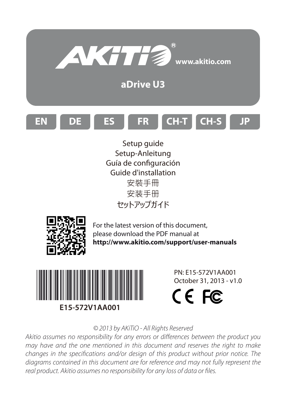

Setup-Anleitung Guía de configuración Guide d'installation

安裝手冊 安装手册 セットアップガイド



For the latest version of this document, please download the PDF manual at **http://www.akitio.com/support/user-manuals**



PN: E15-572V1AA001 October 31, 2013 - v1.0

CE FC

*© 2013 by AKiTiO - All Rights Reserved*

Akitio assumes no responsibility for any errors or differences between the product you *may have and the one mentioned in this document and reserves the right to make*  changes in the specifications and/or design of this product without prior notice. The *diagrams contained in this document are for reference and may not fully represent the*  real product. Akitio assumes no responsibility for any loss of data or files.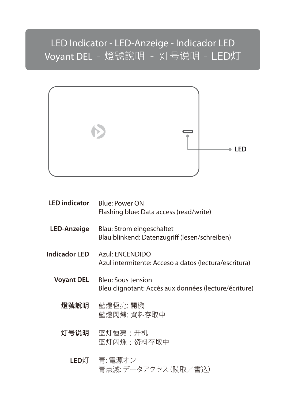## LED Indicator - LED-Anzeige - Indicador LED Voyant DEL - 燈號說明 - 灯号说明 - LED灯



- Blue: Power ON Flashing blue: Data access (read/write) Blau: Strom eingeschaltet Blau blinkend: Datenzugriff (lesen/schreiben) Indicador LED Azul: ENCENDIDO Azul intermitente: Acceso a datos (lectura/escritura) Bleu: Sous tension Bleu clignotant: Accès aux données (lecture/écriture) 藍燈恆亮: 開機 藍燈閃爍: 資料存取中 **灯号说明** 蓝灯恒亮:开机 蓝灯闪烁:资料存取中 **LED**灯 青: 電源オン **LED indicator LED-Anzeige Voyant DEL 燈號說明**
	- 青点滅: データアクセス(読取/書込)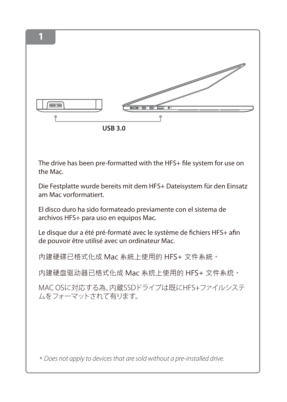

The drive has been pre-formatted with the HFS+ file system for use on the Mac.

Die Festplatte wurde bereits mit dem HFS+ Dateisystem für den Einsatz am Mac vorformatiert.

El disco duro ha sido formateado previamente con el sistema de archivos HFS+ para uso en equipos Mac.

Le disque dur a été pré-formaté avec le système de fichiers HFS+ afin de pouvoir être utilisé avec un ordinateur Mac.

內建硬碟已格式化成 Mac 系統上使用的 HFS+ 文件系統。

内建硬盘驱动器已格式化成 Mac 系统上使用的 HFS+ 文件系统。

MAC OSに対応する為、内蔵SSDドライブは既にHFS+ファイルシステ ムをフォーマットされて有ります。

*\* Does not apply to devices that are sold without a pre-installed drive.*